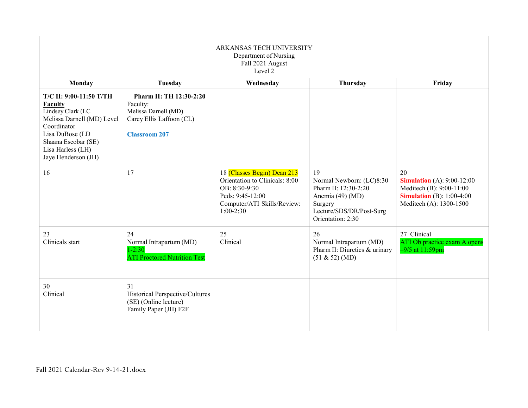| ARKANSAS TECH UNIVERSITY<br>Department of Nursing<br>Fall 2021 August<br>Level 2                                                                                                                         |                                                                                                                 |                                                                                                                                                  |                                                                                                                                        |                                                                                                                                      |  |
|----------------------------------------------------------------------------------------------------------------------------------------------------------------------------------------------------------|-----------------------------------------------------------------------------------------------------------------|--------------------------------------------------------------------------------------------------------------------------------------------------|----------------------------------------------------------------------------------------------------------------------------------------|--------------------------------------------------------------------------------------------------------------------------------------|--|
| Monday                                                                                                                                                                                                   | Tuesday                                                                                                         | Wednesday                                                                                                                                        | Thursday                                                                                                                               | Friday                                                                                                                               |  |
| <b>T/C II: 9:00-11:50 T/TH</b><br><b>Faculty</b><br>Lindsey Clark (LC<br>Melissa Darnell (MD) Level<br>Coordinator<br>Lisa DuBose (LD<br>Shaana Escobar (SE)<br>Lisa Harless (LH)<br>Jaye Henderson (JH) | Pharm II: TH 12:30-2:20<br>Faculty:<br>Melissa Darnell (MD)<br>Carey Ellis Laffoon (CL)<br><b>Classroom 207</b> |                                                                                                                                                  |                                                                                                                                        |                                                                                                                                      |  |
| 16                                                                                                                                                                                                       | 17                                                                                                              | 18 (Classes Begin) Dean 213<br>Orientation to Clinicals: 8:00<br>OB: 8:30-9:30<br>Peds: 9:45-12:00<br>Computer/ATI Skills/Review:<br>$1:00-2:30$ | 19<br>Normal Newborn: (LC)8:30<br>Pharm II: 12:30-2:20<br>Anemia (49) (MD)<br>Surgery<br>Lecture/SDS/DR/Post-Surg<br>Orientation: 2:30 | 20<br><b>Simulation</b> (A): 9:00-12:00<br>Meditech (B): 9:00-11:00<br><b>Simulation</b> (B): $1:00-4:00$<br>Meditech (A): 1300-1500 |  |
| 23<br>Clinicals start                                                                                                                                                                                    | 24<br>Normal Intrapartum (MD)<br>$1 - 2:30$<br><b>ATI Proctored Nutrition Test</b>                              | 25<br>Clinical                                                                                                                                   | 26<br>Normal Intrapartum (MD)<br>Pharm II: Diuretics & urinary<br>(51 & 52) (MD)                                                       | 27 Clinical<br>ATI Ob practice exam A opens<br>$-9/5$ at $11:59$ pm                                                                  |  |
| 30<br>Clinical                                                                                                                                                                                           | 31<br>Historical Perspective/Cultures<br>(SE) (Online lecture)<br>Family Paper (JH) F2F                         |                                                                                                                                                  |                                                                                                                                        |                                                                                                                                      |  |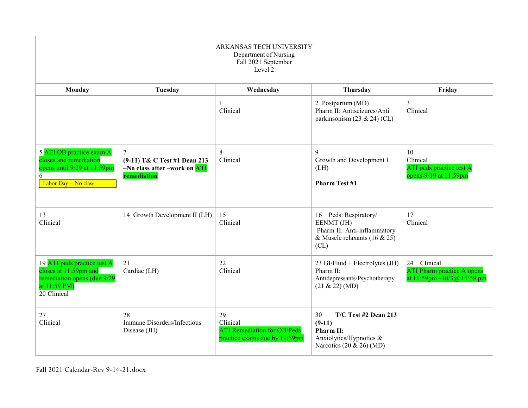| ARKANSAS TECH UNIVERSITY<br>Department of Nursing<br>Fall 2021 September<br>Level 2                                |                                                                                         |                                                                                       |                                                                                                               |                                                                                          |  |
|--------------------------------------------------------------------------------------------------------------------|-----------------------------------------------------------------------------------------|---------------------------------------------------------------------------------------|---------------------------------------------------------------------------------------------------------------|------------------------------------------------------------------------------------------|--|
| Monday                                                                                                             | Tuesday                                                                                 | Wednesday                                                                             | Thursday                                                                                                      | Friday                                                                                   |  |
|                                                                                                                    |                                                                                         | 1<br>Clinical                                                                         | 2 Postpartum (MD)<br>Pharm II: Antiseizures/Anti<br>parkinsonism $(23 \& 24)$ (CL)                            | $\overline{3}$<br>Clinical                                                               |  |
| 5 ATI OB practice exam A<br>closes and remediation<br>opens until 9/29 at 11:59pm<br>6<br>Labor Day - No class     | 7<br>(9-11) T& C Test #1 Dean 213<br>-No class after -work on <b>ATI</b><br>remediation | 8<br>Clinical                                                                         | 9<br>Growth and Development I<br>(LH)<br><b>Pharm Test #1</b>                                                 | 10<br>Clinical<br>ATI peds practice test A<br>opens-9/19 at 11:59pm                      |  |
| 13<br>Clinical                                                                                                     | 14 Growth Development II (LH)                                                           | 15<br>Clinical                                                                        | 16 Peds: Respiratory/<br>EENMT (JH)<br>Pharm II: Anti-inflammatory<br>& Muscle relaxants (16 & 25)<br>CL)     | 17<br>Clinical                                                                           |  |
| 19 ATI peds practice test A<br>closes at 11:59pm and<br>remediation opens (due 9/29<br>at 11:59 PM)<br>20 Clinical | 21<br>Cardiac (LH)                                                                      | 22<br>Clinical                                                                        | 23 GI/Fluid + Electrolytes $(JH)$<br>Pharm II:<br>Antidepressants/Psychotherapy<br>(21 & 22) (MD)             | 24 Clinical<br><b>ATI Pharm practice A opens</b><br>at $11:59$ pm $-10/3$ (a) $11:59$ pm |  |
| 27<br>Clinical                                                                                                     | 28<br>Immune Disorders/Infectious<br>Disease (JH)                                       | 29<br>Clinical<br><b>ATI Remediation for OB/Peds</b><br>practice exams due by 11:59pm | T/C Test #2 Dean 213<br>30<br>$(9-11)$<br>Pharm II:<br>Anxiolytics/Hypnotics &<br>Narcotics $(20 \& 26)$ (MD) |                                                                                          |  |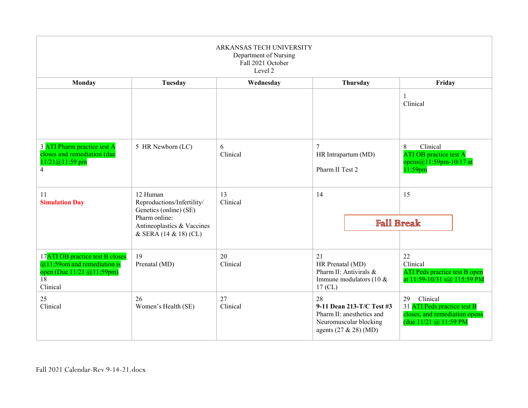| ARKANSAS TECH UNIVERSITY<br>Department of Nursing<br>Fall 2021 October<br>Level 2                                             |                                                                                                                                          |                |                                                                                                                   |          |                                                                                                           |  |
|-------------------------------------------------------------------------------------------------------------------------------|------------------------------------------------------------------------------------------------------------------------------------------|----------------|-------------------------------------------------------------------------------------------------------------------|----------|-----------------------------------------------------------------------------------------------------------|--|
| Monday                                                                                                                        | Tuesday                                                                                                                                  | Wednesday      |                                                                                                                   | Thursday | Friday                                                                                                    |  |
|                                                                                                                               |                                                                                                                                          |                |                                                                                                                   |          | $\mathbf{1}$<br>Clinical                                                                                  |  |
| 3 ATI Pharm practice test A<br>closes and remediation (due<br>11/21@11:59 pm<br>$\overline{4}$                                | 5 HR Newborn (LC)                                                                                                                        | 6<br>Clinical  | $\overline{7}$<br>HR Intrapartum (MD)<br>Pharm II Test 2                                                          |          | Clinical<br>8<br>ATI OB practice test A<br>opens@11:59pm-10/17 at<br>11:59pm                              |  |
| 11<br><b>Simulation Day</b>                                                                                                   | 12 Human<br>Reproductions/Infertility/<br>Genetics (online) (SE)<br>Pharm online:<br>Antineoplastics & Vaccines<br>& SERA (14 & 18) (CL) | 13<br>Clinical | 14<br><b>Fall Break</b>                                                                                           |          | 15                                                                                                        |  |
| 17ATI OB practice test B closes<br>$@11:59$ om and remediation is<br>open (Due 11/21 @11:59pm)<br>$\overline{18}$<br>Clinical | 19<br>Prenatal (MD)                                                                                                                      | 20<br>Clinical | 21<br>HR Prenatal (MD)<br>Pharm II: Antivirals &<br>Immune modulators (10 &<br>$17$ (CL)                          |          | 22<br>Clinical<br>ATI Peds practice test B open<br>at 11:59-10/31 s@ 115:59 PM                            |  |
| 25<br>Clinical                                                                                                                | 26<br>Women's Health (SE)                                                                                                                | 27<br>Clinical | 28<br>9-11 Dean 213-T/C Test #3<br>Pharm II: anesthetics and<br>Neuromuscular blocking<br>agents $(27 & 28)$ (MD) |          | Clinical<br>29<br>31 ATI Peds practice test B<br>closes, and remediation opens<br>(due $11/21$ @ 11:59 PM |  |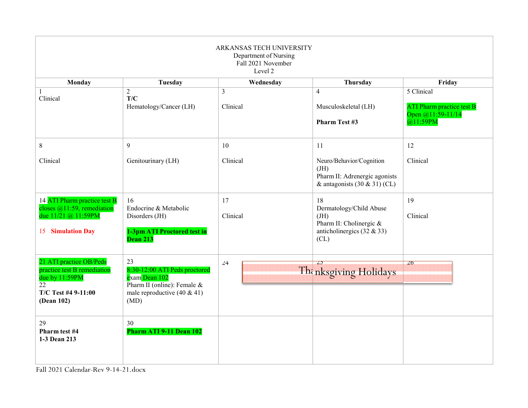| ARKANSAS TECH UNIVERSITY<br>Department of Nursing<br>Fall 2021 November<br>Level 2                                  |                                                                                                                                 |                            |                                                                                                         |                                                                          |  |
|---------------------------------------------------------------------------------------------------------------------|---------------------------------------------------------------------------------------------------------------------------------|----------------------------|---------------------------------------------------------------------------------------------------------|--------------------------------------------------------------------------|--|
| <b>Monday</b>                                                                                                       | Tuesday                                                                                                                         | Wednesday                  | Thursday                                                                                                | Friday                                                                   |  |
| 1<br>Clinical                                                                                                       | $\overline{2}$<br>T/C<br>Hematology/Cancer (LH)                                                                                 | $\overline{3}$<br>Clinical | $\overline{4}$<br>Musculoskeletal (LH)<br><b>Pharm Test #3</b>                                          | 5 Clinical<br>ATI Pharm practice test B<br>Open @11:59-11/14<br>@11:59PM |  |
| $\,8\,$                                                                                                             | 9                                                                                                                               | 10                         | 11                                                                                                      | 12                                                                       |  |
| Clinical                                                                                                            | Genitourinary (LH)                                                                                                              | Clinical                   | Neuro/Behavior/Cognition<br>JH<br>Pharm II: Adrenergic agonists<br>& antagonists $(30 \& 31)$ (CL)      | Clinical                                                                 |  |
| 14 ATI Pharm practice test B<br>closes $@11:59$ , remediation<br>due 11/21 @ 11:59PM<br><b>15 Simulation Day</b>    | 16<br>Endocrine & Metabolic<br>Disorders (JH)<br>1-3pm ATI Proctored test in<br>Dean 213                                        | 17<br>Clinical             | 18<br>Dermatology/Child Abuse<br>JH)<br>Pharm II: Cholinergic &<br>anticholinergics $(32 \& 33)$<br>CL) | 19<br>Clinical                                                           |  |
| 21 ATI practice OB/Peds<br>practice test B remediation<br>due by 11:59PM<br>22<br>T/C Test #4 9-11:00<br>(Dean 102) | 23<br>8:30-12:00 ATI Peds proctored<br>exam Dean 102<br>Pharm II (online): Female $&$<br>male reproductive $(40 \& 41)$<br>(MD) | 24                         | $\overline{L}$<br>The nksgiving Holidays                                                                | 26                                                                       |  |
| 29<br>Pharm test #4<br>1-3 Dean 213                                                                                 | 30<br>Pharm ATI 9-11 Dean 102                                                                                                   |                            |                                                                                                         |                                                                          |  |

Fall 2021 Calendar-Rev 9-14-21.docx